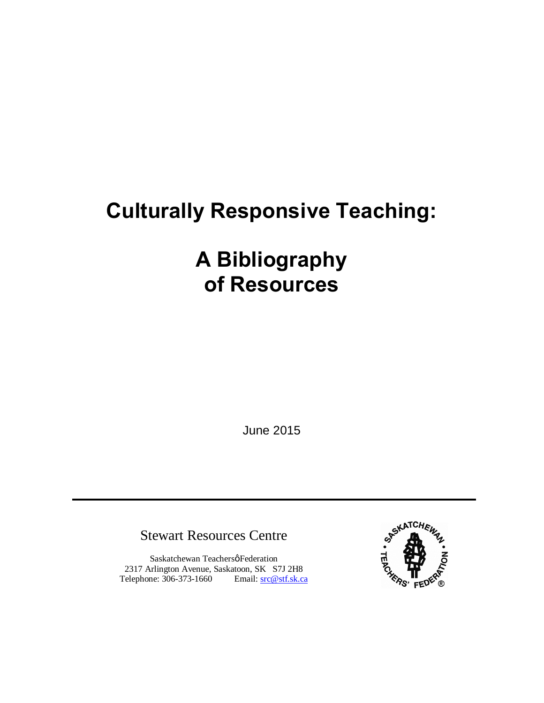# **Culturally Responsive Teaching:**

# **A Bibliography of Resources**

June 2015

Stewart Resources Centre

Saskatchewan Teachersø Federation 2317 Arlington Avenue, Saskatoon, SK S7J 2H8 Telephone: 306-373-1660 Email: src@stf.sk.ca

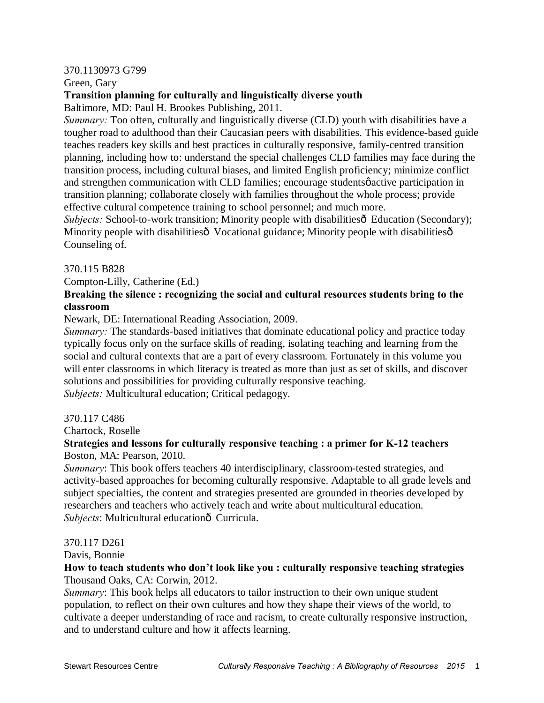#### 370.1130973 G799

Green, Gary

# **Transition planning for culturally and linguistically diverse youth**

Baltimore, MD: Paul H. Brookes Publishing, 2011.

*Summary:* Too often, culturally and linguistically diverse (CLD) youth with disabilities have a tougher road to adulthood than their Caucasian peers with disabilities. This evidence-based guide teaches readers key skills and best practices in culturally responsive, family-centred transition planning, including how to: understand the special challenges CLD families may face during the transition process, including cultural biases, and limited English proficiency; minimize conflict and strengthen communication with CLD families; encourage students participation in transition planning; collaborate closely with families throughout the whole process; provide effective cultural competence training to school personnel; and much more.

*Subjects: School-to-work transition; Minority people with disabilitiesô Education (Secondary);* Minority people with disabilities oVocational guidance; Minority people with disabilities  $\hat{o}$ Counseling of.

#### 370.115 B828

Compton-Lilly, Catherine (Ed.)

# **Breaking the silence : recognizing the social and cultural resources students bring to the classroom**

Newark, DE: International Reading Association, 2009.

*Summary:* The standards-based initiatives that dominate educational policy and practice today typically focus only on the surface skills of reading, isolating teaching and learning from the social and cultural contexts that are a part of every classroom. Fortunately in this volume you will enter classrooms in which literacy is treated as more than just as set of skills, and discover solutions and possibilities for providing culturally responsive teaching. *Subjects:* Multicultural education; Critical pedagogy.

370.117 C486 Chartock, Roselle

# **Strategies and lessons for culturally responsive teaching : a primer for K-12 teachers** Boston, MA: Pearson, 2010.

*Summary*: This book offers teachers 40 interdisciplinary, classroom-tested strategies, and activity-based approaches for becoming culturally responsive. Adaptable to all grade levels and subject specialties, the content and strategies presented are grounded in theories developed by researchers and teachers who actively teach and write about multicultural education. *Subjects*: Multicultural educationô Curricula.

#### 370.117 D261

#### Davis, Bonnie

#### **How to teach students who don't look like you : culturally responsive teaching strategies** Thousand Oaks, CA: Corwin, 2012.

*Summary*: This book helps all educators to tailor instruction to their own unique student population, to reflect on their own cultures and how they shape their views of the world, to cultivate a deeper understanding of race and racism, to create culturally responsive instruction, and to understand culture and how it affects learning.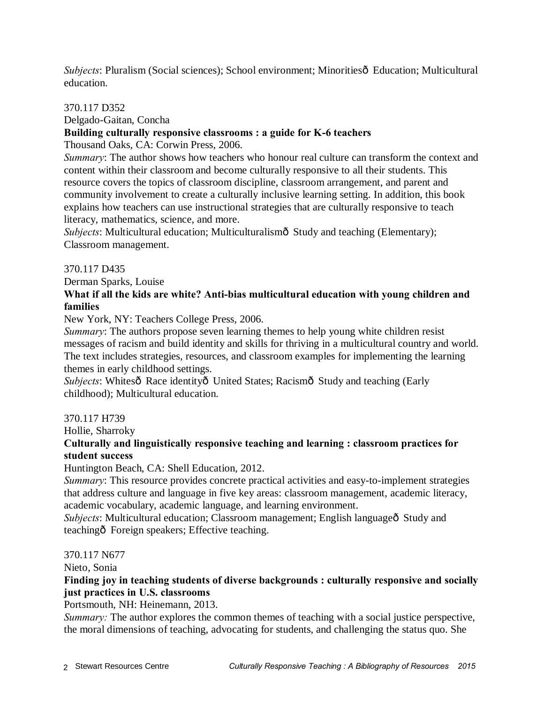*Subjects*: Pluralism (Social sciences); School environment; Minorities $\hat{\mathbf{o}}$  Education; Multicultural education.

#### 370.117 D352

Delgado-Gaitan, Concha

# **Building culturally responsive classrooms : a guide for K-6 teachers**

Thousand Oaks, CA: Corwin Press, 2006.

*Summary*: The author shows how teachers who honour real culture can transform the context and content within their classroom and become culturally responsive to all their students. This resource covers the topics of classroom discipline, classroom arrangement, and parent and community involvement to create a culturally inclusive learning setting. In addition, this book explains how teachers can use instructional strategies that are culturally responsive to teach literacy, mathematics, science, and more.

Subjects: Multicultural education; Multiculturalismô Study and teaching (Elementary); Classroom management.

#### 370.117 D435

Derman Sparks, Louise

# **What if all the kids are white? Anti-bias multicultural education with young children and families**

New York, NY: Teachers College Press, 2006.

*Summary*: The authors propose seven learning themes to help young white children resist messages of racism and build identity and skills for thriving in a multicultural country and world. The text includes strategies, resources, and classroom examples for implementing the learning themes in early childhood settings.

*Subjects*: Whitesô Race identityô United States; Racismô Study and teaching (Early childhood); Multicultural education.

#### 370.117 H739

Hollie, Sharroky

# **Culturally and linguistically responsive teaching and learning : classroom practices for student success**

Huntington Beach, CA: Shell Education, 2012.

*Summary*: This resource provides concrete practical activities and easy-to-implement strategies that address culture and language in five key areas: classroom management, academic literacy, academic vocabulary, academic language, and learning environment.

*Subjects*: Multicultural education; Classroom management; English language<sub>0</sub> Study and teachingô Foreign speakers; Effective teaching.

#### 370.117 N677

Nieto, Sonia

# **Finding joy in teaching students of diverse backgrounds : culturally responsive and socially just practices in U.S. classrooms**

Portsmouth, NH: Heinemann, 2013.

*Summary:* The author explores the common themes of teaching with a social justice perspective, the moral dimensions of teaching, advocating for students, and challenging the status quo. She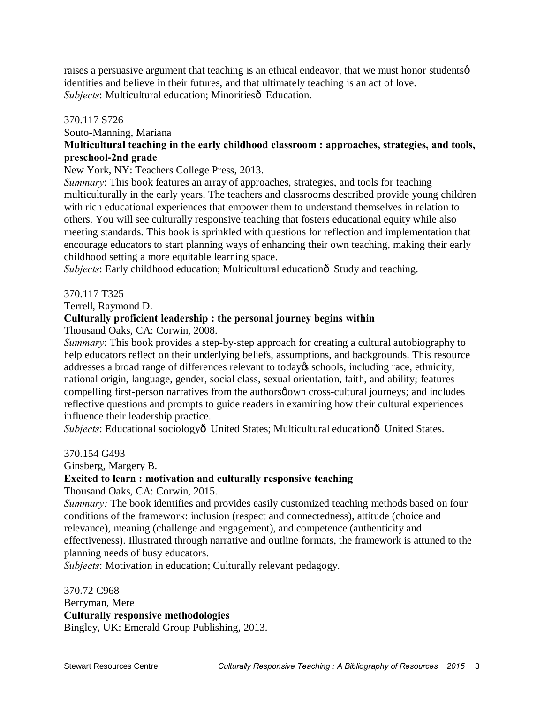raises a persuasive argument that teaching is an ethical endeavor, that we must honor studentsø identities and believe in their futures, and that ultimately teaching is an act of love. *Subjects*: Multicultural education; Minoritiesô Education.

#### 370.117 S726

Souto-Manning, Mariana

# **Multicultural teaching in the early childhood classroom : approaches, strategies, and tools, preschool-2nd grade**

New York, NY: Teachers College Press, 2013.

*Summary*: This book features an array of approaches, strategies, and tools for teaching multiculturally in the early years. The teachers and classrooms described provide young children with rich educational experiences that empower them to understand themselves in relation to others. You will see culturally responsive teaching that fosters educational equity while also meeting standards. This book is sprinkled with questions for reflection and implementation that encourage educators to start planning ways of enhancing their own teaching, making their early childhood setting a more equitable learning space.

*Subjects*: Early childhood education; Multicultural educationô Study and teaching.

#### 370.117 T325

Terrell, Raymond D.

#### **Culturally proficient leadership : the personal journey begins within**

Thousand Oaks, CA: Corwin, 2008.

*Summary*: This book provides a step-by-step approach for creating a cultural autobiography to help educators reflect on their underlying beliefs, assumptions, and backgrounds. This resource addresses a broad range of differences relevant to today $\alpha$  schools, including race, ethnicity, national origin, language, gender, social class, sexual orientation, faith, and ability; features compelling first-person narratives from the authors now cross-cultural journeys; and includes reflective questions and prompts to guide readers in examining how their cultural experiences influence their leadership practice.

*Subjects*: Educational sociologyô United States; Multicultural educationô United States.

#### 370.154 G493

Ginsberg, Margery B.

# **Excited to learn : motivation and culturally responsive teaching**

Thousand Oaks, CA: Corwin, 2015.

*Summary:* The book identifies and provides easily customized teaching methods based on four conditions of the framework: inclusion (respect and connectedness), attitude (choice and relevance), meaning (challenge and engagement), and competence (authenticity and effectiveness). Illustrated through narrative and outline formats, the framework is attuned to the planning needs of busy educators.

*Subjects*: Motivation in education; Culturally relevant pedagogy.

370.72 C968 Berryman, Mere **Culturally responsive methodologies** Bingley, UK: Emerald Group Publishing, 2013.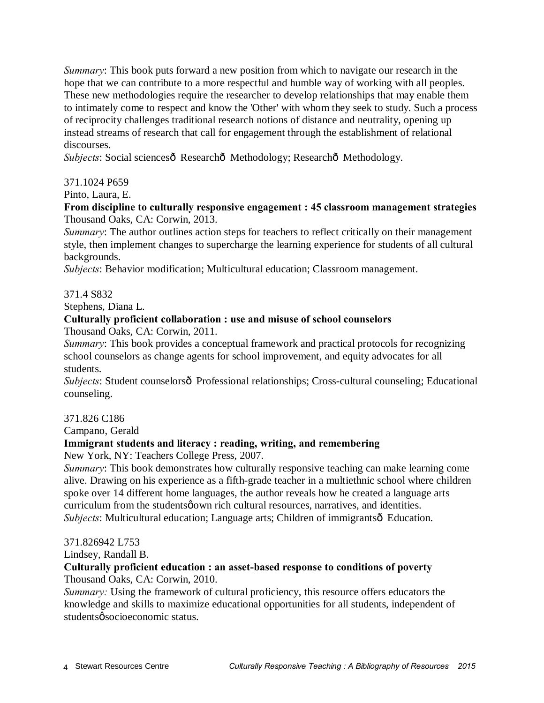*Summary*: This book puts forward a new position from which to navigate our research in the hope that we can contribute to a more respectful and humble way of working with all peoples. These new methodologies require the researcher to develop relationships that may enable them to intimately come to respect and know the 'Other' with whom they seek to study. Such a process of reciprocity challenges traditional research notions of distance and neutrality, opening up instead streams of research that call for engagement through the establishment of relational discourses.

*Subjects*: Social sciencesô Researchô Methodology; Researchô Methodology.

# 371.1024 P659

Pinto, Laura, E.

### **From discipline to culturally responsive engagement : 45 classroom management strategies** Thousand Oaks, CA: Corwin, 2013.

*Summary*: The author outlines action steps for teachers to reflect critically on their management style, then implement changes to supercharge the learning experience for students of all cultural backgrounds.

*Subjects*: Behavior modification; Multicultural education; Classroom management.

# 371.4 S832

Stephens, Diana L.

# **Culturally proficient collaboration : use and misuse of school counselors**

Thousand Oaks, CA: Corwin, 2011.

*Summary*: This book provides a conceptual framework and practical protocols for recognizing school counselors as change agents for school improvement, and equity advocates for all students.

*Subjects*: Student counselorsô Professional relationships; Cross-cultural counseling; Educational counseling.

#### 371.826 C186

Campano, Gerald

# **Immigrant students and literacy : reading, writing, and remembering**

New York, NY: Teachers College Press, 2007.

*Summary*: This book demonstrates how culturally responsive teaching can make learning come alive. Drawing on his experience as a fifth-grade teacher in a multiethnic school where children spoke over 14 different home languages, the author reveals how he created a language arts curriculum from the students own rich cultural resources, narratives, and identities. *Subjects*: Multicultural education; Language arts; Children of immigrantsô Education.

#### 371.826942 L753

Lindsey, Randall B.

# **Culturally proficient education : an asset-based response to conditions of poverty**

Thousand Oaks, CA: Corwin, 2010.

*Summary:* Using the framework of cultural proficiency, this resource offers educators the knowledge and skills to maximize educational opportunities for all students, independent of studentsø socioeconomic status.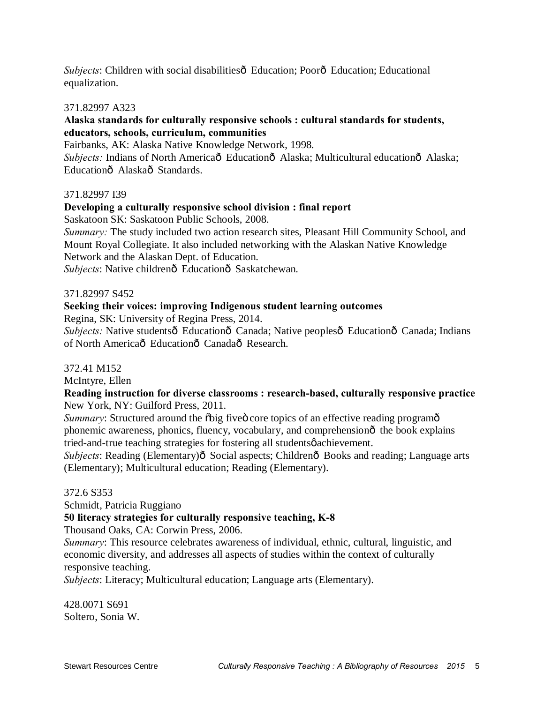*Subjects*: Children with social disabilities <del>6</del> Education; Poor<sub>o</sub> Education; Educational equalization.

#### 371.82997 A323

#### **Alaska standards for culturally responsive schools : cultural standards for students, educators, schools, curriculum, communities**

Fairbanks, AK: Alaska Native Knowledge Network, 1998.

*Subjects: Indians of North Americaô Educationô Alaska; Multicultural educationô Alaska;* Educationô Alaskaô Standards.

#### 371.82997 I39

#### **Developing a culturally responsive school division : final report**

Saskatoon SK: Saskatoon Public Schools, 2008.

*Summary:* The study included two action research sites, Pleasant Hill Community School, and Mount Royal Collegiate. It also included networking with the Alaskan Native Knowledge Network and the Alaskan Dept. of Education.

*Subjects*: Native childrenô Educationô Saskatchewan.

#### 371.82997 S452

#### **Seeking their voices: improving Indigenous student learning outcomes**

Regina, SK: University of Regina Press, 2014.

*Subjects:* Native studentsô Educationô Canada; Native peoplesô Educationô Canada; Indians of North Americaô Educationô Canadaô Research.

#### 372.41 M152

McIntyre, Ellen

#### **Reading instruction for diverse classrooms : research-based, culturally responsive practice** New York, NY: Guilford Press, 2011.

*Summary*: Structured around the  $\delta$ big five core topics of an effective reading program $\delta$ phonemic awareness, phonics, fluency, vocabulary, and comprehensionô the book explains tried-and-true teaching strategies for fostering all studentsø achievement.

*Subjects*: Reading (Elementary) $\hat{\sigma}$  Social aspects; Children $\hat{\sigma}$  Books and reading; Language arts (Elementary); Multicultural education; Reading (Elementary).

#### 372.6 S353

Schmidt, Patricia Ruggiano

#### **50 literacy strategies for culturally responsive teaching, K-8**

Thousand Oaks, CA: Corwin Press, 2006.

*Summary*: This resource celebrates awareness of individual, ethnic, cultural, linguistic, and economic diversity, and addresses all aspects of studies within the context of culturally responsive teaching.

*Subjects*: Literacy; Multicultural education; Language arts (Elementary).

428.0071 S691 Soltero, Sonia W.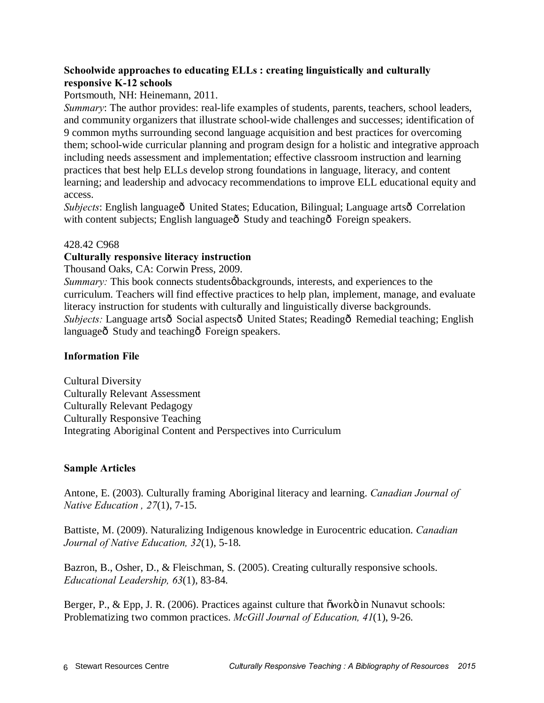# **Schoolwide approaches to educating ELLs : creating linguistically and culturally responsive K-12 schools**

Portsmouth, NH: Heinemann, 2011.

*Summary*: The author provides: real-life examples of students, parents, teachers, school leaders, and community organizers that illustrate school-wide challenges and successes; identification of 9 common myths surrounding second language acquisition and best practices for overcoming them; school-wide curricular planning and program design for a holistic and integrative approach including needs assessment and implementation; effective classroom instruction and learning practices that best help ELLs develop strong foundations in language, literacy, and content learning; and leadership and advocacy recommendations to improve ELL educational equity and access.

*Subjects*: English languageô United States; Education, Bilingual; Language artsô Correlation with content subjects; English languageô Study and teachingô Foreign speakers.

#### 428.42 C968

#### **Culturally responsive literacy instruction**

Thousand Oaks, CA: Corwin Press, 2009.

*Summary:* This book connects students *øbackgrounds*, interests, and experiences to the curriculum. Teachers will find effective practices to help plan, implement, manage, and evaluate literacy instruction for students with culturally and linguistically diverse backgrounds. *Subjects:* Language artsô Social aspectsô United States; Readingô Remedial teaching; English languageô Study and teachingô Foreign speakers.

#### **Information File**

Cultural Diversity Culturally Relevant Assessment Culturally Relevant Pedagogy Culturally Responsive Teaching Integrating Aboriginal Content and Perspectives into Curriculum

#### **Sample Articles**

Antone, E. (2003). Culturally framing Aboriginal literacy and learning. *Canadian Journal of Native Education , 27*(1), 7-15.

Battiste, M. (2009). Naturalizing Indigenous knowledge in Eurocentric education. *Canadian Journal of Native Education, 32*(1), 5-18.

Bazron, B., Osher, D., & Fleischman, S. (2005). Creating culturally responsive schools. *Educational Leadership, 63*(1), 83-84.

Berger, P., & Epp, J. R. (2006). Practices against culture that õworkö in Nunavut schools: Problematizing two common practices. *McGill Journal of Education, 41*(1), 9-26.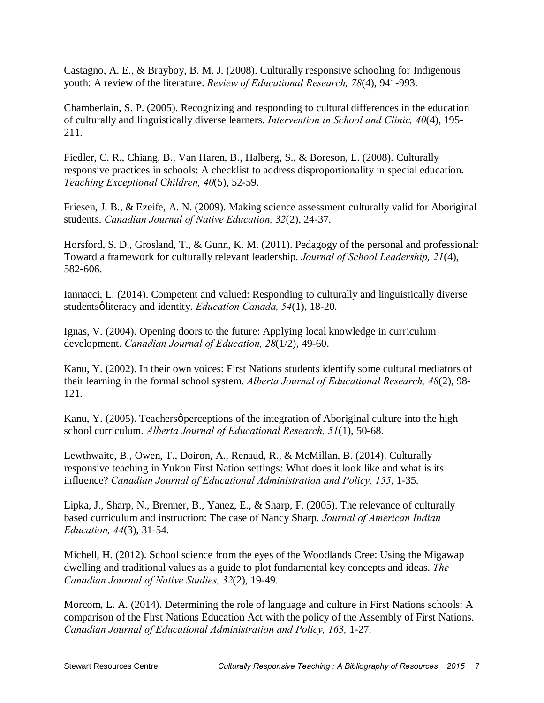Castagno, A. E., & Brayboy, B. M. J. (2008). Culturally responsive schooling for Indigenous youth: A review of the literature. *Review of Educational Research, 78*(4), 941-993.

Chamberlain, S. P. (2005). Recognizing and responding to cultural differences in the education of culturally and linguistically diverse learners. *Intervention in School and Clinic, 40*(4), 195- 211.

Fiedler, C. R., Chiang, B., Van Haren, B., Halberg, S., & Boreson, L. (2008). Culturally responsive practices in schools: A checklist to address disproportionality in special education. *Teaching Exceptional Children, 40*(5), 52-59.

Friesen, J. B., & Ezeife, A. N. (2009). Making science assessment culturally valid for Aboriginal students. *Canadian Journal of Native Education, 32*(2), 24-37.

Horsford, S. D., Grosland, T., & Gunn, K. M. (2011). Pedagogy of the personal and professional: Toward a framework for culturally relevant leadership. *Journal of School Leadership, 21*(4), 582-606.

Iannacci, L. (2014). Competent and valued: Responding to culturally and linguistically diverse studentsøliteracy and identity. *Education Canada*, 54(1), 18-20.

Ignas, V. (2004). Opening doors to the future: Applying local knowledge in curriculum development. *Canadian Journal of Education, 28*(1/2), 49-60.

Kanu, Y. (2002). In their own voices: First Nations students identify some cultural mediators of their learning in the formal school system. *Alberta Journal of Educational Research, 48*(2), 98- 121.

Kanu, Y. (2005). Teachers *o* perceptions of the integration of Aboriginal culture into the high school curriculum. *Alberta Journal of Educational Research, 51*(1), 50-68.

Lewthwaite, B., Owen, T., Doiron, A., Renaud, R., & McMillan, B. (2014). Culturally responsive teaching in Yukon First Nation settings: What does it look like and what is its influence? *Canadian Journal of Educational Administration and Policy, 155*, 1-35.

Lipka, J., Sharp, N., Brenner, B., Yanez, E., & Sharp, F. (2005). The relevance of culturally based curriculum and instruction: The case of Nancy Sharp. *Journal of American Indian Education, 44*(3), 31-54.

Michell, H. (2012). School science from the eyes of the Woodlands Cree: Using the Migawap dwelling and traditional values as a guide to plot fundamental key concepts and ideas. *The Canadian Journal of Native Studies, 32*(2), 19-49.

Morcom, L. A. (2014). Determining the role of language and culture in First Nations schools: A comparison of the First Nations Education Act with the policy of the Assembly of First Nations. *Canadian Journal of Educational Administration and Policy, 163,* 1-27.